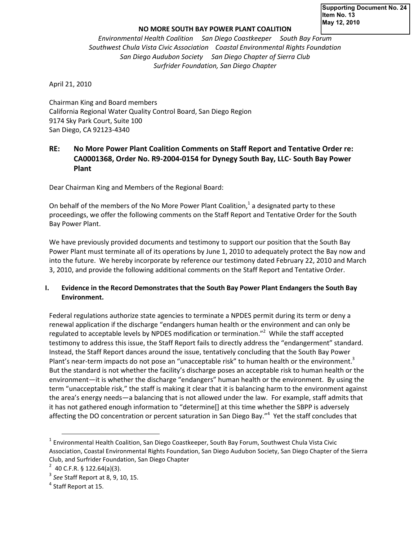#### **NO MORE SOUTH BAY POWER PLANT COALITION**

*Environmental Health Coalition San Diego Coastkeeper South Bay Forum Southwest Chula Vista Civic Association Coastal Environmental Rights Foundation San Diego Audubon Society San Diego Chapter of Sierra Club Surfrider Foundation, San Diego Chapter*

April 21, 2010

Chairman King and Board members California Regional Water Quality Control Board, San Diego Region 9174 Sky Park Court, Suite 100 San Diego, CA 92123-4340

## **RE: No More Power Plant Coalition Comments on Staff Report and Tentative Order re: CA0001368, Order No. R9-2004-0154 for Dynegy South Bay, LLC- South Bay Power Plant**

Dear Chairman King and Members of the Regional Board:

On behalf of the members of the No More Power Plant Coalition,<sup>1</sup> a designated party to these proceedings, we offer the following comments on the Staff Report and Tentative Order for the South Bay Power Plant.

We have previously provided documents and testimony to support our position that the South Bay Power Plant must terminate all of its operations by June 1, 2010 to adequately protect the Bay now and into the future. We hereby incorporate by reference our testimony dated February 22, 2010 and March 3, 2010, and provide the following additional comments on the Staff Report and Tentative Order.

#### **I. Evidence in the Record Demonstrates that the South Bay Power Plant Endangers the South Bay Environment.**

Federal regulations authorize state agencies to terminate a NPDES permit during its term or deny a renewal application if the discharge "endangers human health or the environment and can only be regulated to acceptable levels by NPDES modification or termination."<sup>2</sup> While the staff accepted testimony to address this issue, the Staff Report fails to directly address the "endangerment" standard. Instead, the Staff Report dances around the issue, tentatively concluding that the South Bay Power Plant's near-term impacts do not pose an "unacceptable risk" to human health or the environment.<sup>3</sup> But the standard is not whether the facility's discharge poses an acceptable risk to human health or the environment—it is whether the discharge "endangers" human health or the environment. By using the term "unacceptable risk," the staff is making it clear that it is balancing harm to the environment against the area's energy needs—a balancing that is not allowed under the law. For example, staff admits that it has not gathered enough information to "determine[] at this time whether the SBPP is adversely affecting the DO concentration or percent saturation in San Diego Bay."<sup>4</sup> Yet the staff concludes that

 $^1$  Environmental Health Coalition, San Diego Coastkeeper, South Bay Forum, Southwest Chula Vista Civic Association, Coastal Environmental Rights Foundation, San Diego Audubon Society, San Diego Chapter of the Sierra Club, and Surfrider Foundation, San Diego Chapter

 $2^{2}$  40 C.F.R. § 122.64(a)(3).

<sup>3</sup> *See* Staff Report at 8, 9, 10, 15.

<sup>&</sup>lt;sup>4</sup> Staff Report at 15.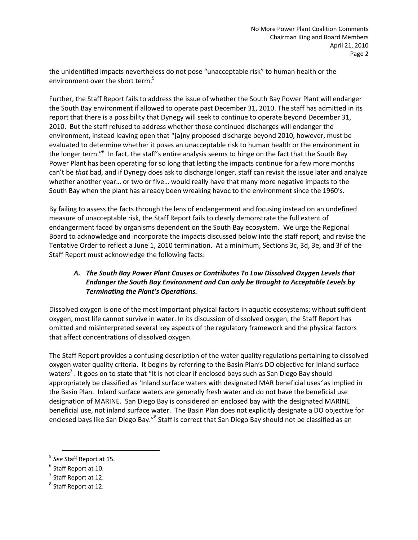the unidentified impacts nevertheless do not pose "unacceptable risk" to human health or the environment over the short term.<sup>5</sup>

Further, the Staff Report fails to address the issue of whether the South Bay Power Plant will endanger the South Bay environment if allowed to operate past December 31, 2010. The staff has admitted in its report that there is a possibility that Dynegy will seek to continue to operate beyond December 31, 2010. But the staff refused to address whether those continued discharges will endanger the environment, instead leaving open that "[a]ny proposed discharge beyond 2010, however, must be evaluated to determine whether it poses an unacceptable risk to human health or the environment in the longer term."<sup>6</sup> In fact, the staff's entire analysis seems to hinge on the fact that the South Bay Power Plant has been operating for so long that letting the impacts continue for a few more months can't be *that* bad, and if Dynegy does ask to discharge longer, staff can revisit the issue later and analyze whether another year… or two or five… would really have that many more negative impacts to the South Bay when the plant has already been wreaking havoc to the environment since the 1960's.

By failing to assess the facts through the lens of endangerment and focusing instead on an undefined measure of unacceptable risk, the Staff Report fails to clearly demonstrate the full extent of endangerment faced by organisms dependent on the South Bay ecosystem. We urge the Regional Board to acknowledge and incorporate the impacts discussed below into the staff report, and revise the Tentative Order to reflect a June 1, 2010 termination. At a minimum, Sections 3c, 3d, 3e, and 3f of the Staff Report must acknowledge the following facts:

## *A. The South Bay Power Plant Causes or Contributes To Low Dissolved Oxygen Levels that Endanger the South Bay Environment and Can only be Brought to Acceptable Levels by Terminating the Plant's Operations.*

Dissolved oxygen is one of the most important physical factors in aquatic ecosystems; without sufficient oxygen, most life cannot survive in water. In its discussion of dissolved oxygen, the Staff Report has omitted and misinterpreted several key aspects of the regulatory framework and the physical factors that affect concentrations of dissolved oxygen.

The Staff Report provides a confusing description of the water quality regulations pertaining to dissolved oxygen water quality criteria. It begins by referring to the Basin Plan's DO objective for inland surface waters<sup>7</sup>. It goes on to state that "It is not clear if enclosed bays such as San Diego Bay should appropriately be classified as *'*Inland surface waters with designated MAR beneficial uses*'* as implied in the Basin Plan. Inland surface waters are generally fresh water and do not have the beneficial use designation of MARINE. San Diego Bay is considered an enclosed bay with the designated MARINE beneficial use, not inland surface water. The Basin Plan does not explicitly designate a DO objective for enclosed bays like San Diego Bay."<sup>8</sup> Staff is correct that San Diego Bay should not be classified as an

l

<sup>5</sup> *See* Staff Report at 15.

<sup>&</sup>lt;sup>6</sup> Staff Report at 10.

<sup>&</sup>lt;sup>7</sup> Staff Report at 12.

<sup>&</sup>lt;sup>8</sup> Staff Report at 12.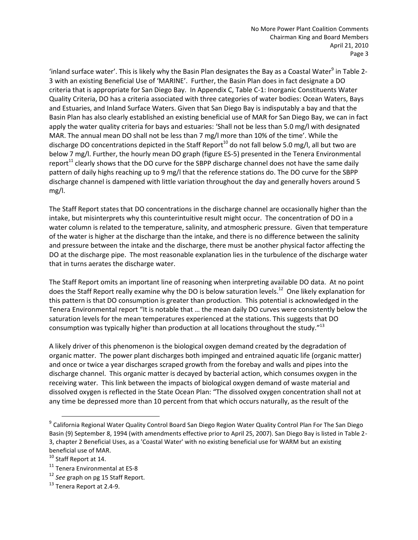'inland surface water'. This is likely why the Basin Plan designates the Bay as a Coastal Water $^9$  in Table 2-3 with an existing Beneficial Use of 'MARINE'. Further, the Basin Plan does in fact designate a DO criteria that is appropriate for San Diego Bay. In Appendix C, Table C-1: Inorganic Constituents Water Quality Criteria, DO has a criteria associated with three categories of water bodies: Ocean Waters, Bays and Estuaries, and Inland Surface Waters. Given that San Diego Bay is indisputably a bay and that the Basin Plan has also clearly established an existing beneficial use of MAR for San Diego Bay, we can in fact apply the water quality criteria for bays and estuaries: 'Shall not be less than 5.0 mg/l with designated MAR. The annual mean DO shall not be less than 7 mg/l more than 10% of the time'. While the discharge DO concentrations depicted in the Staff Report<sup>10</sup> do not fall below 5.0 mg/l, all but two are below 7 mg/l. Further, the hourly mean DO graph (figure ES-5) presented in the Tenera Environmental report<sup>11</sup> clearly shows that the DO curve for the SBPP discharge channel does not have the same daily pattern of daily highs reaching up to 9 mg/l that the reference stations do. The DO curve for the SBPP discharge channel is dampened with little variation throughout the day and generally hovers around 5 mg/l.

The Staff Report states that DO concentrations in the discharge channel are occasionally higher than the intake, but misinterprets why this counterintuitive result might occur. The concentration of DO in a water column is related to the temperature, salinity, and atmospheric pressure. Given that temperature of the water is higher at the discharge than the intake, and there is no difference between the salinity and pressure between the intake and the discharge, there must be another physical factor affecting the DO at the discharge pipe. The most reasonable explanation lies in the turbulence of the discharge water that in turns aerates the discharge water.

The Staff Report omits an important line of reasoning when interpreting available DO data. At no point does the Staff Report really examine why the DO is below saturation levels.<sup>12</sup> One likely explanation for this pattern is that DO consumption is greater than production. This potential is acknowledged in the Tenera Environmental report "It is notable that … the mean daily DO curves were consistently below the saturation levels for the mean temperatures experienced at the stations. This suggests that DO consumption was typically higher than production at all locations throughout the study."<sup>13</sup>

A likely driver of this phenomenon is the biological oxygen demand created by the degradation of organic matter. The power plant discharges both impinged and entrained aquatic life (organic matter) and once or twice a year discharges scraped growth from the forebay and walls and pipes into the discharge channel. This organic matter is decayed by bacterial action, which consumes oxygen in the receiving water. This link between the impacts of biological oxygen demand of waste material and dissolved oxygen is reflected in the State Ocean Plan: "The dissolved oxygen concentration shall not at any time be depressed more than 10 percent from that which occurs naturally, as the result of the

<sup>&</sup>lt;sup>9</sup> California Regional Water Quality Control Board San Diego Region Water Quality Control Plan For The San Diego Basin (9) September 8, 1994 (with amendments effective prior to April 25, 2007). San Diego Bay is listed in Table 2- 3, chapter 2 Beneficial Uses, as a 'Coastal Water' with no existing beneficial use for WARM but an existing beneficial use of MAR.

<sup>&</sup>lt;sup>10</sup> Staff Report at 14.

<sup>&</sup>lt;sup>11</sup> Tenera Environmental at ES-8

<sup>12</sup> *See* graph on pg 15 Staff Report.

 $13$  Tenera Report at 2.4-9.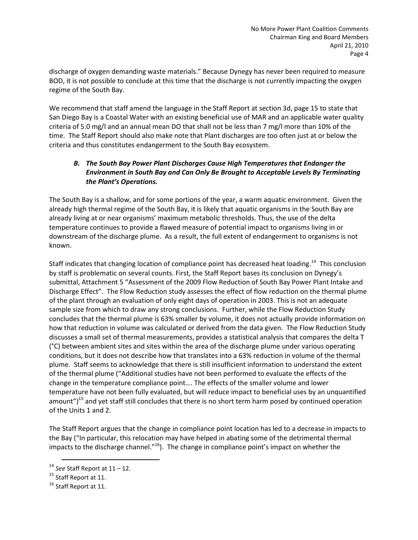discharge of oxygen demanding waste materials." Because Dynegy has never been required to measure BOD, it is not possible to conclude at this time that the discharge is not currently impacting the oxygen regime of the South Bay.

We recommend that staff amend the language in the Staff Report at section 3d, page 15 to state that San Diego Bay is a Coastal Water with an existing beneficial use of MAR and an applicable water quality criteria of 5.0 mg/l and an annual mean DO that shall not be less than 7 mg/l more than 10% of the time. The Staff Report should also make note that Plant discharges are too often just at or below the criteria and thus constitutes endangerment to the South Bay ecosystem.

## *B. The South Bay Power Plant Discharges Cause High Temperatures that Endanger the Environment in South Bay and Can Only Be Brought to Acceptable Levels By Terminating the Plant's Operations.*

The South Bay is a shallow, and for some portions of the year, a warm aquatic environment. Given the already high thermal regime of the South Bay, it is likely that aquatic organisms in the South Bay are already living at or near organisms' maximum metabolic thresholds. Thus, the use of the delta temperature continues to provide a flawed measure of potential impact to organisms living in or downstream of the discharge plume. As a result, the full extent of endangerment to organisms is not known.

Staff indicates that changing location of compliance point has decreased heat loading.<sup>14</sup> This conclusion by staff is problematic on several counts. First, the Staff Report bases its conclusion on Dynegy's submittal, Attachment 5 "Assessment of the 2009 Flow Reduction of South Bay Power Plant Intake and Discharge Effect". The Flow Reduction study assesses the effect of flow reduction on the thermal plume of the plant through an evaluation of only eight days of operation in 2003. This is not an adequate sample size from which to draw any strong conclusions. Further, while the Flow Reduction Study concludes that the thermal plume is 63% smaller by volume, it does not actually provide information on how that reduction in volume was calculated or derived from the data given. The Flow Reduction Study discusses a small set of thermal measurements, provides a statistical analysis that compares the delta T (°C) between ambient sites and sites within the area of the discharge plume under various operating conditions, but it does not describe how that translates into a 63% reduction in volume of the thermal plume. Staff seems to acknowledge that there is still insufficient information to understand the extent of the thermal plume ("Additional studies have not been performed to evaluate the effects of the change in the temperature compliance point…. The effects of the smaller volume and lower temperature have not been fully evaluated, but will reduce impact to beneficial uses by an unquantified amount")<sup>15</sup> and yet staff still concludes that there is no short term harm posed by continued operation of the Units 1 and 2.

The Staff Report argues that the change in compliance point location has led to a decrease in impacts to the Bay ("In particular, this relocation may have helped in abating some of the detrimental thermal impacts to the discharge channel."<sup>16</sup>). The change in compliance point's impact on whether the

<sup>14</sup> *See* Staff Report at 11 – 12.

<sup>&</sup>lt;sup>15</sup> Staff Report at 11.

<sup>&</sup>lt;sup>16</sup> Staff Report at 11.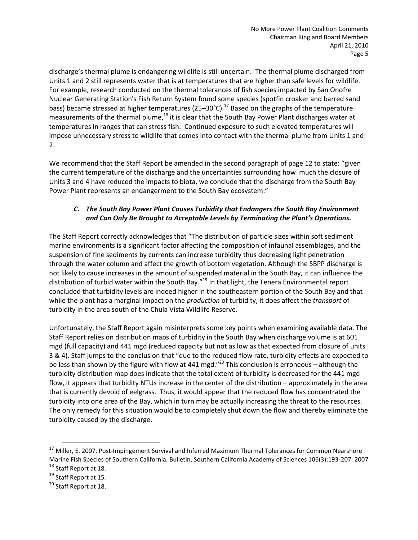discharge's thermal plume is endangering wildlife is still uncertain. The thermal plume discharged from Units 1 and 2 still represents water that is at temperatures that are higher than safe levels for wildlife. For example, research conducted on the thermal tolerances of fish species impacted by San Onofre Nuclear Generating Station's Fish Return System found some species (spotfin croaker and barred sand bass) became stressed at higher temperatures (25–30°C).<sup>17</sup> Based on the graphs of the temperature measurements of the thermal plume,<sup>18</sup> it is clear that the South Bay Power Plant discharges water at temperatures in ranges that can stress fish. Continued exposure to such elevated temperatures will impose unnecessary stress to wildlife that comes into contact with the thermal plume from Units 1 and 2.

We recommend that the Staff Report be amended in the second paragraph of page 12 to state: "given the current temperature of the discharge and the uncertainties surrounding how much the closure of Units 3 and 4 have reduced the impacts to biota, we conclude that the discharge from the South Bay Power Plant represents an endangerment to the South Bay ecosystem."

## *C. The South Bay Power Plant Causes Turbidity that Endangers the South Bay Environment and Can Only Be Brought to Acceptable Levels by Terminating the Plant's Operations.*

The Staff Report correctly acknowledges that "The distribution of particle sizes within soft sediment marine environments is a significant factor affecting the composition of infaunal assemblages, and the suspension of fine sediments by currents can increase turbidity thus decreasing light penetration through the water column and affect the growth of bottom vegetation. Although the SBPP discharge is not likely to cause increases in the amount of suspended material in the South Bay, it can influence the distribution of turbid water within the South Bay."<sup>19</sup> In that light, the Tenera Environmental report concluded that turbidity levels are indeed higher in the southeastern portion of the South Bay and that while the plant has a marginal impact on the *production* of turbidity, it does affect the *transport* of turbidity in the area south of the Chula Vista Wildlife Reserve.

Unfortunately, the Staff Report again misinterprets some key points when examining available data. The Staff Report relies on distribution maps of turbidity in the South Bay when discharge volume is at 601 mgd (full capacity) and 441 mgd (reduced capacity but not as low as that expected from closure of units 3 & 4). Staff jumps to the conclusion that "due to the reduced flow rate, turbidity effects are expected to be less than shown by the figure with flow at 441 mgd."<sup>20</sup> This conclusion is erroneous – although the turbidity distribution map does indicate that the total extent of turbidity is decreased for the 441 mgd flow, it appears that turbidity NTUs increase in the center of the distribution – approximately in the area that is currently devoid of eelgrass. Thus, it would appear that the reduced flow has concentrated the turbidity into one area of the Bay, which in turn may be actually increasing the threat to the resources. The only remedy for this situation would be to completely shut down the flow and thereby eliminate the turbidity caused by the discharge.

<sup>&</sup>lt;sup>17</sup> Miller, E. 2007. Post-Impingement Survival and Inferred Maximum Thermal Tolerances for Common Nearshore Marine Fish Species of Southern California. Bulletin, Southern California Academy of Sciences 106(3):193-207. 2007 <sup>18</sup> Staff Report at 18.

<sup>19</sup> Staff Report at 15.

<sup>20</sup> Staff Report at 18.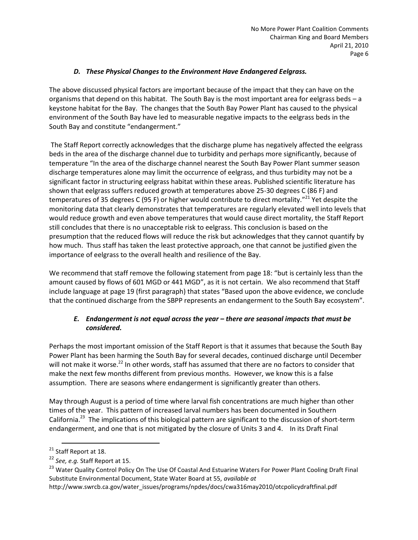### *D. These Physical Changes to the Environment Have Endangered Eelgrass.*

The above discussed physical factors are important because of the impact that they can have on the organisms that depend on this habitat. The South Bay is the most important area for eelgrass beds – a keystone habitat for the Bay. The changes that the South Bay Power Plant has caused to the physical environment of the South Bay have led to measurable negative impacts to the eelgrass beds in the South Bay and constitute "endangerment."

The Staff Report correctly acknowledges that the discharge plume has negatively affected the eelgrass beds in the area of the discharge channel due to turbidity and perhaps more significantly, because of temperature "In the area of the discharge channel nearest the South Bay Power Plant summer season discharge temperatures alone may limit the occurrence of eelgrass, and thus turbidity may not be a significant factor in structuring eelgrass habitat within these areas. Published scientific literature has shown that eelgrass suffers reduced growth at temperatures above 25-30 degrees C (86 F) and temperatures of 35 degrees C (95 F) or higher would contribute to direct mortality."<sup>21</sup> Yet despite the monitoring data that clearly demonstrates that temperatures are regularly elevated well into levels that would reduce growth and even above temperatures that would cause direct mortality, the Staff Report still concludes that there is no unacceptable risk to eelgrass. This conclusion is based on the presumption that the reduced flows will reduce the risk but acknowledges that they cannot quantify by how much. Thus staff has taken the least protective approach, one that cannot be justified given the importance of eelgrass to the overall health and resilience of the Bay.

We recommend that staff remove the following statement from page 18: "but is certainly less than the amount caused by flows of 601 MGD or 441 MGD", as it is not certain. We also recommend that Staff include language at page 19 (first paragraph) that states "Based upon the above evidence, we conclude that the continued discharge from the SBPP represents an endangerment to the South Bay ecosystem".

## *E. Endangerment is not equal across the year – there are seasonal impacts that must be considered.*

Perhaps the most important omission of the Staff Report is that it assumes that because the South Bay Power Plant has been harming the South Bay for several decades, continued discharge until December will not make it worse.<sup>22</sup> In other words, staff has assumed that there are no factors to consider that make the next few months different from previous months. However, we know this is a false assumption. There are seasons where endangerment is significantly greater than others.

May through August is a period of time where larval fish concentrations are much higher than other times of the year. This pattern of increased larval numbers has been documented in Southern California.<sup>23</sup> The implications of this biological pattern are significant to the discussion of short-term endangerment, and one that is not mitigated by the closure of Units 3 and 4. In its Draft Final

<sup>&</sup>lt;sup>21</sup> Staff Report at 18.

<sup>22</sup> *See, e.g.* Staff Report at 15.

<sup>&</sup>lt;sup>23</sup> Water Quality Control Policy On The Use Of Coastal And Estuarine Waters For Power Plant Cooling Draft Final Substitute Environmental Document, State Water Board at 55, *available at*

http://www.swrcb.ca.gov/water\_issues/programs/npdes/docs/cwa316may2010/otcpolicydraftfinal.pdf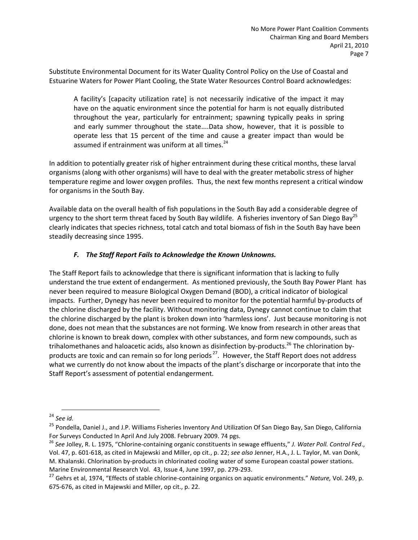Substitute Environmental Document for its Water Quality Control Policy on the Use of Coastal and Estuarine Waters for Power Plant Cooling, the State Water Resources Control Board acknowledges:

A facility's (capacity utilization rate) is not necessarily indicative of the impact it may have on the aquatic environment since the potential for harm is not equally distributed throughout the year, particularly for entrainment; spawning typically peaks in spring and early summer throughout the state....Data show, however, that it is possible to operate less that 15 percent of the time and cause a greater impact than would be assumed if entrainment was uniform at all times.<sup>24</sup>

In addition to potentially greater risk of higher entrainment during these critical months, these larval organisms (along with other organisms) will have to deal with the greater metabolic stress of higher temperature regime and lower oxygen profiles. Thus, the next few months represent a critical window for organisms in the South Bay.

Available data on the overall health of fish populations in the South Bay add a considerable degree of urgency to the short term threat faced by South Bay wildlife. A fisheries inventory of San Diego Bay<sup>25</sup> clearly indicates that species richness, total catch and total biomass of fish in the South Bay have been steadily decreasing since 1995.

#### *F. The Staff Report Fails to Acknowledge the Known Unknowns.*

The Staff Report fails to acknowledge that there is significant information that is lacking to fully understand the true extent of endangerment. As mentioned previously, the South Bay Power Plant has never been required to measure Biological Oxygen Demand (BOD), a critical indicator of biological impacts. Further, Dynegy has never been required to monitor for the potential harmful by-products of the chlorine discharged by the facility. Without monitoring data, Dynegy cannot continue to claim that the chlorine discharged by the plant is broken down into 'harmless ions'. Just because monitoring is not done, does not mean that the substances are not forming. We know from research in other areas that chlorine is known to break down, complex with other substances, and form new compounds, such as trihalomethanes and haloacetic acids, also known as disinfection by-products.<sup>26</sup> The chlorination byproducts are toxic and can remain so for long periods<sup>27</sup>. However, the Staff Report does not address what we currently do not know about the impacts of the plant's discharge or incorporate that into the Staff Report's assessment of potential endangerment.

 $\overline{\phantom{a}}$ <sup>24</sup> *See id.*

<sup>&</sup>lt;sup>25</sup> Pondella, Daniel J., and J.P. Williams Fisheries Inventory And Utilization Of San Diego Bay, San Diego, California For Surveys Conducted In April And July 2008. February 2009. 74 pgs.

<sup>26</sup> *See* Jolley, R. L. 1975, "Chlorine-containing organic constituents in sewage effluents," *J. Water Poll. Control Fed*., Vol. 47, p. 601-618, as cited in Majewski and Miller, op cit., p. 22; *see also* Jenner, H.A., J. L. Taylor, M. van Donk, M. Khalanski. Chlorination by-products in chlorinated cooling water of some European coastal power stations. Marine Environmental Research Vol. 43, Issue 4, June 1997, pp. 279-293.

<sup>27</sup> Gehrs et al, 1974, "Effects of stable chlorine-containing organics on aquatic environments." *Nature,* Vol. 249, p. 675-676, as cited in Majewski and Miller, op cit., p. 22.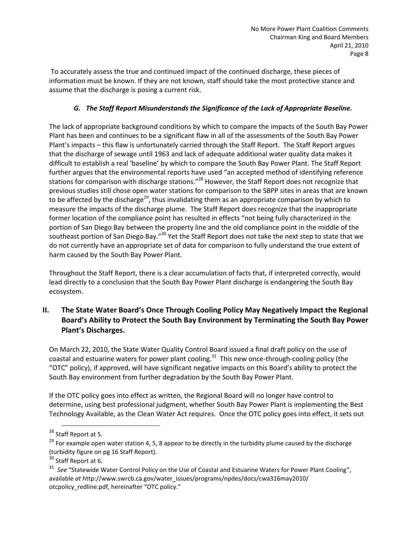To accurately assess the true and continued impact of the continued discharge, these pieces of information must be known. If they are not known, staff should take the most protective stance and assume that the discharge is posing a current risk.

# *G. The Staff Report Misunderstands the Significance of the Lack of Appropriate Baseline.*

The lack of appropriate background conditions by which to compare the impacts of the South Bay Power Plant has been and continues to be a significant flaw in all of the assessments of the South Bay Power Plant's impacts – this flaw is unfortunately carried through the Staff Report. The Staff Report argues that the discharge of sewage until 1963 and lack of adequate additional water quality data makes it difficult to establish a real 'baseline' by which to compare the South Bay Power Plant. The Staff Report further argues that the environmental reports have used "an accepted method of identifying reference stations for comparison with discharge stations."<sup>28</sup> However, the Staff Report does not recognize that previous studies still chose open water stations for comparison to the SBPP sites in areas that are known to be affected by the discharge<sup>29</sup>, thus invalidating them as an appropriate comparison by which to measure the impacts of the discharge plume. The Staff Report does recognize that the inappropriate former location of the compliance point has resulted in effects "not being fully characterized in the portion of San Diego Bay between the property line and the old compliance point in the middle of the southeast portion of San Diego Bay."<sup>30</sup> Yet the Staff Report does not take the next step to state that we do not currently have an appropriate set of data for comparison to fully understand the true extent of harm caused by the South Bay Power Plant.

Throughout the Staff Report, there is a clear accumulation of facts that, if interpreted correctly, would lead directly to a conclusion that the South Bay Power Plant discharge is endangering the South Bay ecosystem.

# **II. The State Water Board's Once Through Cooling Policy May Negatively Impact the Regional Board's Ability to Protect the South Bay Environment by Terminating the South Bay Power Plant's Discharges.**

On March 22, 2010, the State Water Quality Control Board issued a final draft policy on the use of coastal and estuarine waters for power plant cooling.<sup>31</sup> This new once-through-cooling policy (the "OTC" policy), if approved, will have significant negative impacts on this Board's ability to protect the South Bay environment from further degradation by the South Bay Power Plant.

If the OTC policy goes into effect as written, the Regional Board will no longer have control to determine, using best professional judgment, whether South Bay Power Plant is implementing the Best Technology Available, as the Clean Water Act requires. Once the OTC policy goes into effect, it sets out

l

<sup>&</sup>lt;sup>28</sup> Staff Report at 5.

 $29$  For example open water station 4, 5, 8 appear to be directly in the turbidity plume caused by the discharge (turbidity figure on pg 16 Staff Report).

<sup>&</sup>lt;sup>30</sup> Staff Report at 6.

<sup>&</sup>lt;sup>31</sup> See "Statewide Water Control Policy on the Use of Coastal and Estuarine Waters for Power Plant Cooling", available *at* http://www.swrcb.ca.gov/water\_issues/programs/npdes/docs/cwa316may2010/ otcpolicy redline.pdf, hereinafter "OTC policy."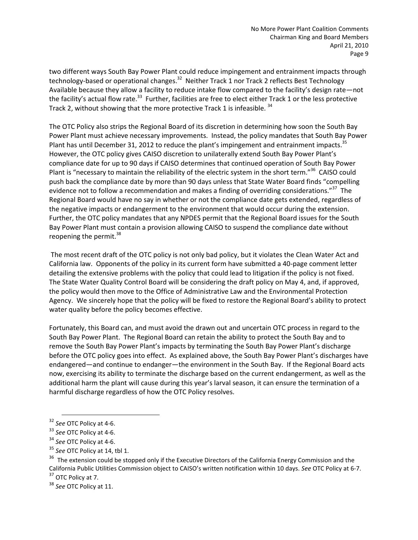two different ways South Bay Power Plant could reduce impingement and entrainment impacts through technology-based or operational changes.<sup>32</sup> Neither Track 1 nor Track 2 reflects Best Technology Available because they allow a facility to reduce intake flow compared to the facility's design rate—not the facility's actual flow rate.<sup>33</sup> Further, facilities are free to elect either Track 1 or the less protective Track 2, without showing that the more protective Track 1 is infeasible.  $34$ 

The OTC Policy also strips the Regional Board of its discretion in determining how soon the South Bay Power Plant must achieve necessary improvements. Instead, the policy mandates that South Bay Power Plant has until December 31, 2012 to reduce the plant's impingement and entrainment impacts.<sup>35</sup> However, the OTC policy gives CAISO discretion to unilaterally extend South Bay Power Plant's compliance date for up to 90 days if CAISO determines that continued operation of South Bay Power Plant is "necessary to maintain the reliability of the electric system in the short term."<sup>36</sup> CAISO could push back the compliance date by more than 90 days unless that State Water Board finds "compelling evidence not to follow a recommendation and makes a finding of overriding considerations."<sup>37</sup> The Regional Board would have no say in whether or not the compliance date gets extended, regardless of the negative impacts or endangerment to the environment that would occur during the extension. Further, the OTC policy mandates that any NPDES permit that the Regional Board issues for the South Bay Power Plant must contain a provision allowing CAISO to suspend the compliance date without reopening the permit. $38$ 

The most recent draft of the OTC policy is not only bad policy, but it violates the Clean Water Act and California law. Opponents of the policy in its current form have submitted a 40-page comment letter detailing the extensive problems with the policy that could lead to litigation if the policy is not fixed. The State Water Quality Control Board will be considering the draft policy on May 4, and, if approved, the policy would then move to the Office of Administrative Law and the Environmental Protection Agency. We sincerely hope that the policy will be fixed to restore the Regional Board's ability to protect water quality before the policy becomes effective.

Fortunately, this Board can, and must avoid the drawn out and uncertain OTC process in regard to the South Bay Power Plant. The Regional Board can retain the ability to protect the South Bay and to remove the South Bay Power Plant's impacts by terminating the South Bay Power Plant's discharge before the OTC policy goes into effect. As explained above, the South Bay Power Plant's discharges have endangered—and continue to endanger—the environment in the South Bay. If the Regional Board acts now, exercising its ability to terminate the discharge based on the current endangerment, as well as the additional harm the plant will cause during this year's larval season, it can ensure the termination of a harmful discharge regardless of how the OTC Policy resolves.

 $\overline{a}$ 

<sup>32</sup> *See* OTC Policy at 4-6.

<sup>33</sup> *See* OTC Policy at 4-6.

<sup>34</sup> *See* OTC Policy at 4-6.

<sup>35</sup> *See* OTC Policy at 14, tbl 1.

 $36$  The extension could be stopped only if the Executive Directors of the California Energy Commission and the California Public Utilities Commission object to CAISO's written notification within 10 days. *See* OTC Policy at 6-7. <sup>37</sup> OTC Policy at 7.

<sup>38</sup> *See* OTC Policy at 11.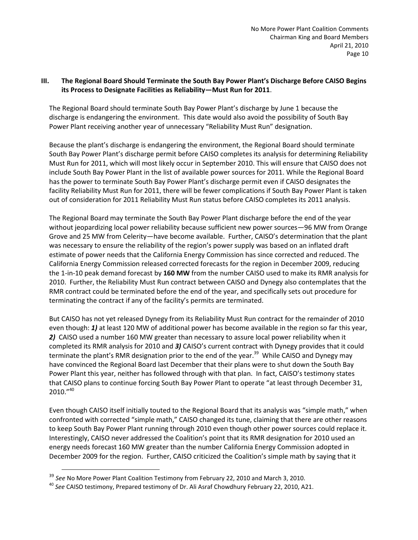#### **III. The Regional Board Should Terminate the South Bay Power Plant's Discharge Before CAISO Begins its Process to Designate Facilities as Reliability—Must Run for 2011**.

The Regional Board should terminate South Bay Power Plant's discharge by June 1 because the discharge is endangering the environment. This date would also avoid the possibility of South Bay Power Plant receiving another year of unnecessary "Reliability Must Run" designation.

Because the plant's discharge is endangering the environment, the Regional Board should terminate South Bay Power Plant's discharge permit before CAISO completes its analysis for determining Reliability Must Run for 2011, which will most likely occur in September 2010. This will ensure that CAISO does not include South Bay Power Plant in the list of available power sources for 2011. While the Regional Board has the power to terminate South Bay Power Plant's discharge permit even if CAISO designates the facility Reliability Must Run for 2011, there will be fewer complications if South Bay Power Plant is taken out of consideration for 2011 Reliability Must Run status before CAISO completes its 2011 analysis.

The Regional Board may terminate the South Bay Power Plant discharge before the end of the year without jeopardizing local power reliability because sufficient new power sources—96 MW from Orange Grove and 25 MW from Celerity—have become available. Further, CAISO's determination that the plant was necessary to ensure the reliability of the region's power supply was based on an inflated draft estimate of power needs that the California Energy Commission has since corrected and reduced. The California Energy Commission released corrected forecasts for the region in December 2009, reducing the 1-in-10 peak demand forecast by **160 MW** from the number CAISO used to make its RMR analysis for 2010. Further, the Reliability Must Run contract between CAISO and Dynegy also contemplates that the RMR contract could be terminated before the end of the year, and specifically sets out procedure for terminating the contract if any of the facility's permits are terminated.

But CAISO has not yet released Dynegy from its Reliability Must Run contract for the remainder of 2010 even though: *1)* at least 120 MW of additional power has become available in the region so far this year, *2)* CAISO used a number 160 MW greater than necessary to assure local power reliability when it completed its RMR analysis for 2010 and *3)* CAISO's current contract with Dynegy provides that it could terminate the plant's RMR designation prior to the end of the year.<sup>39</sup> While CAISO and Dynegy may have convinced the Regional Board last December that their plans were to shut down the South Bay Power Plant this year, neither has followed through with that plan. In fact, CAISO's testimony states that CAISO plans to continue forcing South Bay Power Plant to operate "at least through December 31,  $2010."^{40}$ 

Even though CAISO itself initially touted to the Regional Board that its analysis was "simple math," when confronted with corrected "simple math," CAISO changed its tune, claiming that there are other reasons to keep South Bay Power Plant running through 2010 even though other power sources could replace it. Interestingly, CAISO never addressed the Coalition's point that its RMR designation for 2010 used an energy needs forecast 160 MW greater than the number California Energy Commission adopted in December 2009 for the region. Further, CAISO criticized the Coalition's simple math by saying that it

<sup>39</sup> *See* No More Power Plant Coalition Testimony from February 22, 2010 and March 3, 2010.

<sup>40</sup> *See* CAISO testimony, Prepared testimony of Dr. Ali Asraf Chowdhury February 22, 2010, A21.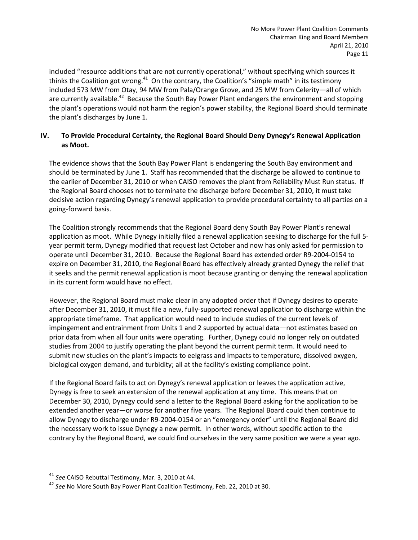included "resource additions that are not currently operational," without specifying which sources it thinks the Coalition got wrong.<sup>41</sup> On the contrary, the Coalition's "simple math" in its testimony included 573 MW from Otay, 94 MW from Pala/Orange Grove, and 25 MW from Celerity—all of which are currently available.<sup>42</sup> Because the South Bay Power Plant endangers the environment and stopping the plant's operations would not harm the region's power stability, the Regional Board should terminate the plant's discharges by June 1.

### **IV. To Provide Procedural Certainty, the Regional Board Should Deny Dynegy's Renewal Application as Moot.**

The evidence shows that the South Bay Power Plant is endangering the South Bay environment and should be terminated by June 1. Staff has recommended that the discharge be allowed to continue to the earlier of December 31, 2010 or when CAISO removes the plant from Reliability Must Run status. If the Regional Board chooses not to terminate the discharge before December 31, 2010, it must take decisive action regarding Dynegy's renewal application to provide procedural certainty to all parties on a going-forward basis.

The Coalition strongly recommends that the Regional Board deny South Bay Power Plant's renewal application as moot. While Dynegy initially filed a renewal application seeking to discharge for the full 5 year permit term, Dynegy modified that request last October and now has only asked for permission to operate until December 31, 2010. Because the Regional Board has extended order R9-2004-0154 to expire on December 31, 2010, the Regional Board has effectively already granted Dynegy the relief that it seeks and the permit renewal application is moot because granting or denying the renewal application in its current form would have no effect.

However, the Regional Board must make clear in any adopted order that if Dynegy desires to operate after December 31, 2010, it must file a new, fully-supported renewal application to discharge within the appropriate timeframe. That application would need to include studies of the current levels of impingement and entrainment from Units 1 and 2 supported by actual data—not estimates based on prior data from when all four units were operating. Further, Dynegy could no longer rely on outdated studies from 2004 to justify operating the plant beyond the current permit term. It would need to submit new studies on the plant's impacts to eelgrass and impacts to temperature, dissolved oxygen, biological oxygen demand, and turbidity; all at the facility's existing compliance point.

If the Regional Board fails to act on Dynegy's renewal application or leaves the application active, Dynegy is free to seek an extension of the renewal application at any time. This means that on December 30, 2010, Dynegy could send a letter to the Regional Board asking for the application to be extended another year—or worse for another five years. The Regional Board could then continue to allow Dynegy to discharge under R9-2004-0154 or an "emergency order" until the Regional Board did the necessary work to issue Dynegy a new permit. In other words, without specific action to the contrary by the Regional Board, we could find ourselves in the very same position we were a year ago.

<sup>41</sup> *See* CAISO Rebuttal Testimony, Mar. 3, 2010 at A4.

<sup>42</sup> *See* No More South Bay Power Plant Coalition Testimony, Feb. 22, 2010 at 30.